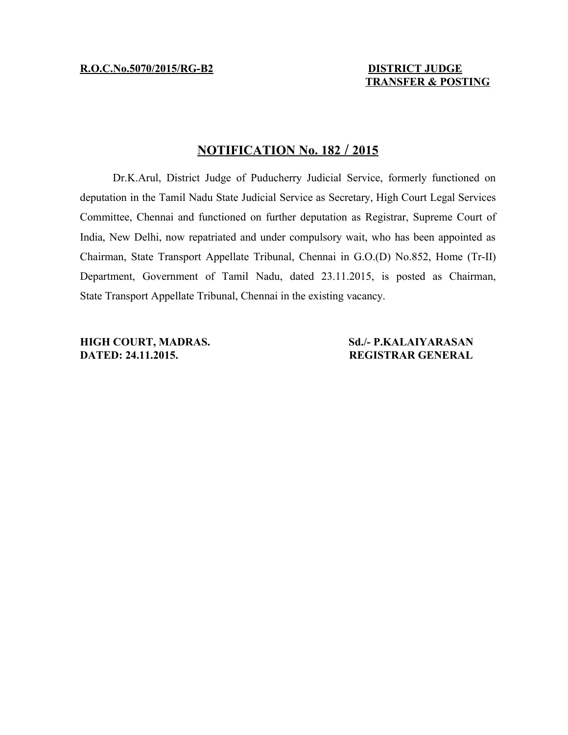# **TRANSFER & POSTING**

## **N OTIFICATION No. 182 / 20 15**

Dr.K.Arul, District Judge of Puducherry Judicial Service, formerly functioned on deputation in the Tamil Nadu State Judicial Service as Secretary, High Court Legal Services Committee, Chennai and functioned on further deputation as Registrar, Supreme Court of India, New Delhi, now repatriated and under compulsory wait, who has been appointed as Chairman, State Transport Appellate Tribunal, Chennai in G.O.(D) No.852, Home (Tr-II) Department, Government of Tamil Nadu, dated 23.11.2015, is posted as Chairman, State Transport Appellate Tribunal, Chennai in the existing vacancy.

**HIGH COURT, MADRAS.** Sd./- P.KALAIYARASAN **DATED: 24.11.2015. REGISTRAR GENERAL**